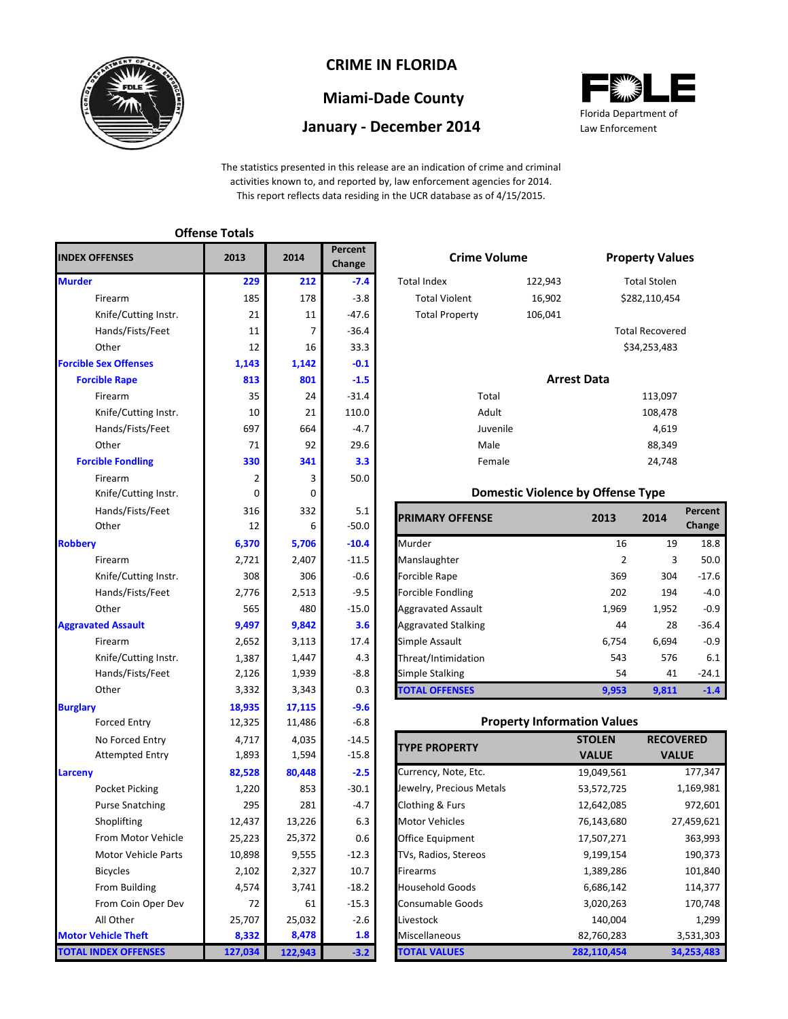

## **CRIME IN FLORIDA**

# **Miami-Dade County**

### **January - December 2014**



The statistics presented in this release are an indication of crime and criminal activities known to, and reported by, law enforcement agencies for 2014. This report reflects data residing in the UCR database as of 4/15/2015.

|                              | <b>Offense Totals</b> |         |                          |                                     |                                          |                    |                      |
|------------------------------|-----------------------|---------|--------------------------|-------------------------------------|------------------------------------------|--------------------|----------------------|
| <b>INDEX OFFENSES</b>        | 2013                  | 2014    | <b>Percent</b><br>Change | <b>Crime Volume</b>                 |                                          |                    | <b>Property Val</b>  |
| <b>Murder</b>                | 229                   | 212     | $-7.4$                   | <b>Total Index</b>                  | 122,943                                  |                    | <b>Total Stolen</b>  |
| Firearm                      | 185                   | 178     | $-3.8$                   | <b>Total Violent</b>                | 16,902                                   | \$282,110,45       |                      |
| Knife/Cutting Instr.         | 21                    | 11      | $-47.6$                  | <b>Total Property</b>               | 106,041                                  |                    |                      |
| Hands/Fists/Feet             | 11                    | 7       | $-36.4$                  |                                     |                                          |                    | <b>Total Recover</b> |
| Other                        | 12                    | 16      | 33.3                     |                                     |                                          |                    | \$34,253,483         |
| <b>Forcible Sex Offenses</b> | 1,143                 | 1,142   | $-0.1$                   |                                     |                                          |                    |                      |
| <b>Forcible Rape</b>         | 813                   | 801     | $-1.5$                   |                                     |                                          | <b>Arrest Data</b> |                      |
| Firearm                      | 35                    | 24      | $-31.4$                  | Total                               |                                          |                    | 113,097              |
| Knife/Cutting Instr.         | 10                    | 21      | 110.0                    | Adult                               |                                          |                    | 108,478              |
| Hands/Fists/Feet             | 697                   | 664     | $-4.7$                   | Juvenile                            |                                          |                    | 4,619                |
| Other                        | 71                    | 92      | 29.6                     | Male                                |                                          |                    | 88,349               |
| <b>Forcible Fondling</b>     | 330                   | 341     | 3.3                      | Female                              |                                          |                    | 24,748               |
| Firearm                      | $\overline{2}$        | 3       | 50.0                     |                                     |                                          |                    |                      |
| Knife/Cutting Instr.         | 0                     | 0       |                          |                                     | <b>Domestic Violence by Offense Type</b> |                    |                      |
| Hands/Fists/Feet             | 316                   | 332     | 5.1                      | <b>PRIMARY OFFENSE</b>              |                                          | 2013               | 2014                 |
| Other                        | 12                    | 6       | $-50.0$                  |                                     |                                          |                    |                      |
| <b>Robbery</b>               | 6,370                 | 5,706   | $-10.4$                  | Murder                              |                                          | 16                 | 1 <sup>c</sup>       |
| Firearm                      | 2,721                 | 2,407   | $-11.5$                  | Manslaughter                        |                                          | $\overline{2}$     |                      |
| Knife/Cutting Instr.         | 308                   | 306     | $-0.6$                   | Forcible Rape                       |                                          | 369                | 304                  |
| Hands/Fists/Feet             | 2,776                 | 2,513   | $-9.5$                   | Forcible Fondling                   |                                          | 202                | 194                  |
| Other                        | 565                   | 480     | $-15.0$                  | <b>Aggravated Assault</b>           |                                          | 1,969              | 1,952                |
| <b>Aggravated Assault</b>    | 9,497                 | 9,842   | 3.6                      | <b>Aggravated Stalking</b>          |                                          | 44                 | 28                   |
| Firearm                      | 2,652                 | 3,113   | 17.4                     | Simple Assault                      |                                          | 6,754              | 6,694                |
| Knife/Cutting Instr.         | 1,387                 | 1,447   | 4.3                      | Threat/Intimidation                 |                                          | 543                | 576                  |
| Hands/Fists/Feet             | 2,126                 | 1,939   | $-8.8$                   | <b>Simple Stalking</b>              |                                          | 54                 | 41                   |
| Other                        | 3,332                 | 3,343   | 0.3                      | <b>TOTAL OFFENSES</b>               |                                          | 9,953              | 9,811                |
| <b>Burglary</b>              | 18,935                | 17,115  | $-9.6$                   |                                     |                                          |                    |                      |
| <b>Forced Entry</b>          | 12,325                | 11,486  | $-6.8$                   |                                     | <b>Property Information Values</b>       |                    |                      |
| No Forced Entry              | 4,717                 | 4,035   | $-14.5$                  |                                     |                                          | <b>STOLEN</b>      | <b>RECO</b>          |
| <b>Attempted Entry</b>       | 1,893                 | 1,594   | $-15.8$                  | <b>TYPE PROPERTY</b>                |                                          | <b>VALUE</b>       | <b>VA</b>            |
| Larceny                      | 82,528                | 80,448  | $-2.5$                   | Currency, Note, Etc.                |                                          | 19,049,561         |                      |
| Pocket Picking               | 1,220                 | 853     | $-30.1$                  | Jewelry, Precious Metals            |                                          | 53,572,725         |                      |
| <b>Purse Snatching</b>       | 295                   | 281     | -4.7                     | Clothing & Furs                     |                                          | 12,642,085         |                      |
| Shoplifting                  | 12,437                | 13,226  | 6.3                      | <b>Motor Vehicles</b>               |                                          | 76,143,680         |                      |
| From Motor Vehicle           | 25,223                | 25,372  | 0.6                      | Office Equipment                    |                                          | 17,507,271         |                      |
| <b>Motor Vehicle Parts</b>   | 10,898                | 9,555   | $-12.3$                  | TVs, Radios, Stereos                |                                          | 9,199,154          |                      |
| <b>Bicycles</b>              | 2,102                 | 2,327   | 10.7                     | Firearms                            |                                          | 1,389,286          |                      |
| From Building                | 4,574                 | 3,741   | $-18.2$                  | <b>Household Goods</b><br>6,686,142 |                                          |                    |                      |
| From Coin Oper Dev           | 72                    | 61      | $-15.3$                  | Consumable Goods                    |                                          | 3,020,263          |                      |
| All Other                    | 25,707                | 25,032  | $-2.6$                   | Livestock                           |                                          | 140,004            |                      |
| <b>Motor Vehicle Theft</b>   | 8,332                 | 8,478   | 1.8                      | Miscellaneous                       |                                          | 82,760,283         |                      |
| <b>TOTAL INDEX OFFENSES</b>  | 127,034               | 122,943 | $-3.2$                   | <b>TOTAL VALUES</b><br>282,110,454  |                                          | 3                  |                      |

| 4   | Percent<br>Change |                       | <b>Crime Volume</b> |                        |  |  |
|-----|-------------------|-----------------------|---------------------|------------------------|--|--|
| 212 | $-7.4$            | <b>Total Index</b>    | 122,943             | <b>Total Stolen</b>    |  |  |
| 178 | $-3.8$            | <b>Total Violent</b>  | 16,902              | \$282,110,454          |  |  |
| 11  | $-47.6$           | <b>Total Property</b> | 106,041             |                        |  |  |
| 7   | $-36.4$           |                       |                     | <b>Total Recovered</b> |  |  |
| 16  | 33.3              |                       |                     | \$34,253,483           |  |  |
| 142 | $-0.1$            |                       |                     |                        |  |  |
| 801 | $-1.5$            |                       | <b>Arrest Data</b>  |                        |  |  |
| 24  | $-31.4$           | Total                 |                     | 113,097                |  |  |
| 21  | 110.0             | Adult                 |                     | 108,478                |  |  |
| 664 | $-4.7$            | Juvenile              |                     | 4,619                  |  |  |
| 92  | 29.6              | Male                  |                     | 88.349                 |  |  |

#### **Domestic Violence by Offense Type**

| Hands/Fists/Feet     | 316   | 332   | 5.1     | <b>PRIMARY OFFENSE</b>     | 2013           | 2014  | <b>Percent</b> |
|----------------------|-------|-------|---------|----------------------------|----------------|-------|----------------|
| Other                | 12    | 6     | -50.0   |                            |                |       | Change         |
|                      | 6,370 | 5,706 | $-10.4$ | Murder                     | 16             | 19    | 18.8           |
| Firearm              | 2,721 | 2,407 | $-11.5$ | Manslaughter               | $\overline{2}$ | 3     | 50.0           |
| Knife/Cutting Instr. | 308   | 306   | $-0.6$  | <b>Forcible Rape</b>       | 369            | 304   | $-17.6$        |
| Hands/Fists/Feet     | 2,776 | 2,513 | $-9.5$  | <b>Forcible Fondling</b>   | 202            | 194   | $-4.0$         |
| Other                | 565   | 480   | $-15.0$ | <b>Aggravated Assault</b>  | 1,969          | 1,952 | $-0.9$         |
| ted Assault          | 9,497 | 9,842 | 3.6     | <b>Aggravated Stalking</b> | 44             | 28    | $-36.4$        |
| Firearm              | 2,652 | 3,113 | 17.4    | Simple Assault             | 6,754          | 6,694 | $-0.9$         |
| Knife/Cutting Instr. | 1,387 | 1,447 | 4.3     | Threat/Intimidation        | 543            | 576   | 6.1            |
| Hands/Fists/Feet     | 2,126 | 1,939 | $-8.8$  | Simple Stalking            | 54             | 41    | $-24.1$        |
| Other                | 3,332 | 3,343 | 0.3     | <b>TOTAL OFFENSES</b>      | 9,953          | 9,811 | $-1.4$         |

### **Property Information Values**

| <b>TYPE PROPERTY</b>     | <b>STOLEN</b> | <b>RECOVERED</b> |
|--------------------------|---------------|------------------|
|                          | <b>VALUE</b>  | <b>VALUE</b>     |
| Currency, Note, Etc.     | 19,049,561    | 177,347          |
| Jewelry, Precious Metals | 53,572,725    | 1,169,981        |
| Clothing & Furs          | 12,642,085    | 972,601          |
| <b>Motor Vehicles</b>    | 76,143,680    | 27,459,621       |
| <b>Office Equipment</b>  | 17,507,271    | 363,993          |
| TVs, Radios, Stereos     | 9,199,154     | 190,373          |
| Firearms                 | 1,389,286     | 101,840          |
| <b>Household Goods</b>   | 6,686,142     | 114,377          |
| <b>Consumable Goods</b>  | 3,020,263     | 170,748          |
| Livestock                | 140,004       | 1,299            |
| Miscellaneous            | 82,760,283    | 3,531,303        |
| <b>TOTAL VALUES</b>      | 282,110,454   | 34,253,483       |